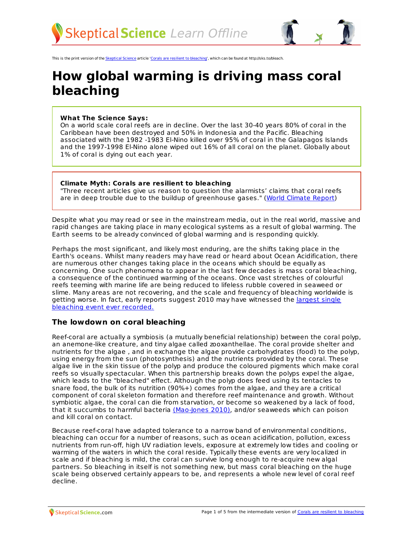

This is the print version of the [Skeptical](http://skepticalscience.com) Science article 'Corals are resilient to [bleaching](http://skepticalscience.com/coral-bleaching.htm)', which can be found at http://sks.to/bleach.

# **How global warming is driving mass coral bleaching**

#### **What The Science Says:**

On a world scale coral reefs are in decline. Over the last 30-40 years 80% of coral in the Caribbean have been destroyed and 50% in Indonesia and the Pacific. Bleaching associated with the 1982 -1983 El-Nino killed over 95% of coral in the Galapagos Islands and the 1997-1998 El-Nino alone wiped out 16% of all coral on the planet. Globally about 1% of coral is dying out each year.

#### **Climate Myth: Corals are resilient to bleaching**

"Three recent articles give us reason to question the alarmists' claims that coral reefs are in deep trouble due to the buildup of greenhouse gases." (World [Climate](http://www.worldclimatereport.com/index.php/2010/09/13/coral-bleaching/) Report)

Despite what you may read or see in the mainstream media, out in the real world, massive and rapid changes are taking place in many ecological systems as a result of global warming. The Earth seems to be already convinced of global warming and is responding quickly.

Perhaps the most significant, and likely most enduring, are the shifts taking place in the Earth's oceans. Whilst many readers may have read or heard about Ocean Acidification, there are numerous other changes taking place in the oceans which should be equally as concerning. One such phenomena to appear in the last few decades is mass coral bleaching, a consequence of the continued warming of the oceans. Once vast stretches of colourful reefs teeming with marine life are being reduced to lifeless rubble covered in seaweed or slime. Many areas are not recovering, and the scale and frequency of bleaching worldwide is getting worse. In fact, early reports suggest 2010 may have [witnessed](http://web.archive.org/web/20120625075658/http://www.coralcoe.org.au/news_stories/regionalbleaching.html) the largest single bleaching event ever recorded.

#### **The lowdown on coral bleaching**

Reef-coral are actually a symbiosis (a mutually beneficial relationship) between the coral polyp, an anemone-like creature, and tiny algae called zooxanthellae. The coral provide shelter and nutrients for the algae , and in exchange the algae provide carbohydrates (food) to the polyp, using energy from the sun (photosynthesis) and the nutrients provided by the coral. These algae live in the skin tissue of the polyp and produce the coloured pigments which make coral reefs so visually spectacular. When this partnership breaks down the polyps expel the algae, which leads to the "bleached" effect. Although the polyp does feed using its tentacles to snare food, the bulk of its nutrition (90%+) comes from the algae, and they are a critical component of coral skeleton formation and therefore reef maintenance and growth. Without symbiotic algae, the coral can die from starvation, or become so weakened by a lack of food, that it succumbs to harmful bacteria [\(Mao-Jones](http://www.plosbiology.org/article/info:doi/10.1371/journal.pbio.1000345) 2010), and/or seaweeds which can poison and kill coral on contact.

Because reef-coral have adapted tolerance to a narrow band of environmental conditions, bleaching can occur for a number of reasons, such as ocean acidification, pollution, excess nutrients from run-off, high UV radiation levels, exposure at extremely low tides and cooling or warming of the waters in which the coral reside. Typically these events are very localized in scale and if bleaching is mild, the coral can survive long enough to re-acquire new algal partners. So bleaching in itself is not something new, but mass coral bleaching on the huge scale being observed certainly appears to be, and represents a whole new level of coral reef decline.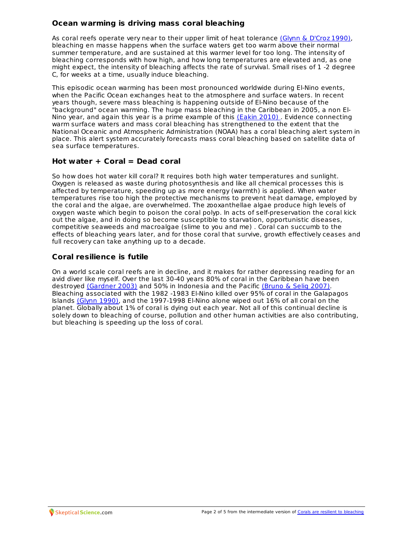## **Ocean warming is driving mass coral bleaching**

As coral reefs operate very near to their upper limit of heat tolerance (Glynn & [D'Croz](http://www.springerlink.com/content/pj641521uk266477/) 1990), bleaching en masse happens when the surface waters get too warm above their normal summer temperature, and are sustained at this warmer level for too long. The intensity of bleaching corresponds with how high, and how long temperatures are elevated and, as one might expect, the intensity of bleaching affects the rate of survival. Small rises of 1 -2 degree C, for weeks at a time, usually induce bleaching.

This episodic ocean warming has been most pronounced worldwide during El-Nino events, when the Pacific Ocean exchanges heat to the atmosphere and surface waters. In recent years though, severe mass bleaching is happening outside of El-Nino because of the "background" ocean warming. The huge mass bleaching in the Caribbean in 2005, a non El-Nino year, and again this year is a prime example of this [\(Eakin](http://www.plosone.org/article/info:doi/10.1371/journal.pone.0013969) 2010) . Evidence connecting warm surface waters and mass coral bleaching has strengthened to the extent that the National Oceanic and Atmospheric Administration (NOAA) has a coral bleaching alert system in place. This alert system accurately forecasts mass coral bleaching based on satellite data of sea surface temperatures.

## **Hot water + Coral = Dead coral**

So how does hot water kill coral? It requires both high water temperatures and sunlight. Oxygen is released as waste during photosynthesis and like all chemical processes this is affected by temperature, speeding up as more energy (warmth) is applied. When water temperatures rise too high the protective mechanisms to prevent heat damage, employed by the coral and the algae, are overwhelmed. The zooxanthellae algae produce high levels of oxygen waste which begin to poison the coral polyp. In acts of self-preservation the coral kick out the algae, and in doing so become susceptible to starvation, opportunistic diseases, competitive seaweeds and macroalgae (slime to you and me) . Coral can succumb to the effects of bleaching years later, and for those coral that survive, growth effectively ceases and full recovery can take anything up to a decade.

## **Coral resilience is futile**

On a world scale coral reefs are in decline, and it makes for rather depressing reading for an avid diver like myself. Over the last 30-40 years 80% of coral in the Caribbean have been destroyed [\(Gardner](http://www.sciencemag.org/content/301/5635/958.abstract) 2003) and 50% in Indonesia and the Pacific [\(Bruno](http://www.plosone.org/article/info:doi/10.1371/journal.pone.0000711) & Selig 2007). Bleaching associated with the 1982 -1983 El-Nino killed over 95% of coral in the Galapagos Islands [\(Glynn](http://www.stri.si.edu/sites/publications/PDFs/1990_DCroz_Glynn_CReef_Experimental_181-191.pdf) 1990), and the 1997-1998 El-Nino alone wiped out 16% of all coral on the planet. Globally about 1% of coral is dying out each year. Not all of this continual decline is solely down to bleaching of course, pollution and other human activities are also contributing, but bleaching is speeding up the loss of coral.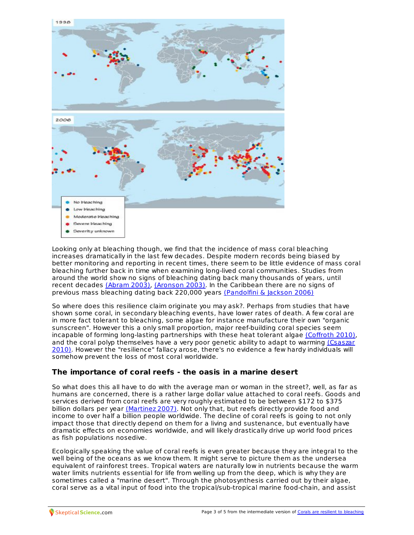

Looking only at bleaching though, we find that the incidence of mass coral bleaching increases dramatically in the last few decades. Despite modern records being biased by better monitoring and reporting in recent times, there seem to be little evidence of mass coral bleaching further back in time when examining long-lived coral communities. Studies from around the world show no signs of bleaching dating back many thousands of years, until recent decades [\(Abram](http://www.sciencemag.org/content/301/5635/952.abstract) 2003), [\(Aronson](http://www.springerlink.com/content/a6w9a5q993vppgrb/) 2003). In the Caribbean there are no signs of previous mass bleaching dating back 220,000 years [\(Pandolfini](http://onlinelibrary.wiley.com/doi/10.1111/j.1461-0248.2006.00933.x/abstract) & Jackson 2006)

So where does this resilience claim originate you may ask?. Perhaps from studies that have shown some coral, in secondary bleaching events, have lower rates of death. A few coral are in more fact tolerant to bleaching, some algae for instance manufacture their own "organic sunscreen". However this a only small proportion, major reef-building coral species seem incapable of forming long-lasting partnerships with these heat tolerant algae [\(Coffroth](http://www.plosone.org/article/info:doi/10.1371/journal.pone.0013258) 2010), and the coral polyp themselves have a very poor genetic ability to adapt to warming (Csaszar 2010). However the ["resilience"](http://www.plosone.org/article/info:doi/10.1371/journal.pone.0009751) fallacy arose, there's no evidence a few hardy individuals will somehow prevent the loss of most coral worldwide.

# **The importance of coral reefs - the oasis in a marine desert**

So what does this all have to do with the average man or woman in the street?, well, as far as humans are concerned, there is a rather large dollar value attached to coral reefs. Goods and services derived from coral reefs are very roughly estimated to be between \$172 to \$375 billion dollars per year [\(Martinez](http://infolib.hua.edu.vn/Fulltext/ChuyenDe2009/CD289/56.pdf) 2007). Not only that, but reefs directly provide food and income to over half a billion people worldwide. The decline of coral reefs is going to not only impact those that directly depend on them for a living and sustenance, but eventually have dramatic effects on economies worldwide, and will likely drastically drive up world food prices as fish populations nosedive.

Ecologically speaking the value of coral reefs is even greater because they are integral to the well being of the oceans as we know them. It might serve to picture them as the undersea equivalent of rainforest trees. Tropical waters are naturally low in nutrients because the warm water limits nutrients essential for life from welling up from the deep, which is why they are sometimes called a "marine desert". Through the photosynthesis carried out by their algae, coral serve as a vital input of food into the tropical/sub-tropical marine foo[d-chain,](http://skepticalscience.com/coral-bleaching.htm) and assist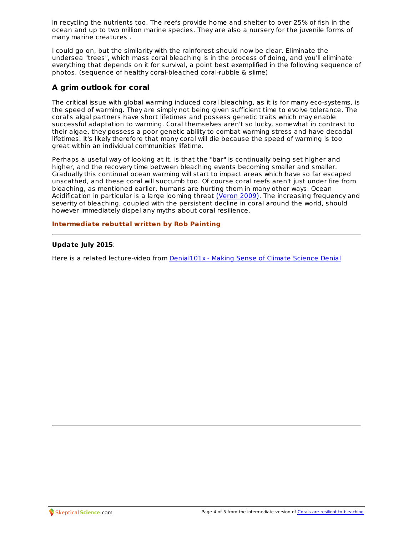in recycling the nutrients too. The reefs provide home and shelter to over 25% of fish in the ocean and up to two million marine species. They are also a nursery for the juvenile forms of many marine creatures .

I could go on, but the similarity with the rainforest should now be clear. Eliminate the undersea "trees", which mass coral bleaching is in the process of doing, and you'll eliminate everything that depends on it for survival, a point best exemplified in the following sequence of photos. (sequence of healthy coral-bleached coral-rubble & slime)

# **A grim outlook for coral**

The critical issue with global warming induced coral bleaching, as it is for many eco-systems, is the speed of warming. They are simply not being given sufficient time to evolve tolerance. The coral's algal partners have short lifetimes and possess genetic traits which may enable successful adaptation to warming. Coral themselves aren't so lucky, somewhat in contrast to their algae, they possess a poor genetic ability to combat warming stress and have decadal lifetimes. It's likely therefore that many coral will die because the speed of warming is too great within an individual communities lifetime.

Perhaps a useful way of looking at it, is that the "bar" is continually being set higher and higher, and the recovery time between bleaching events becoming smaller and smaller. Gradually this continual ocean warming will start to impact areas which have so far escaped unscathed, and these coral will succumb too. Of course coral reefs aren't just under fire from bleaching, as mentioned earlier, humans are hurting them in many other ways. Ocean Acidification in particular is a large looming threat [\(Veron](http://www.ncbi.nlm.nih.gov/pubmed/19782832) 2009). The increasing frequency and severity of bleaching, coupled with the persistent decline in coral around the world, should however immediately dispel any myths about coral resilience.

#### **Intermediate rebuttal written by Rob Painting**

#### **Update July 2015**:

Here is a related lecture-video from [Denial101x](https://www.edx.org/course/making-sense-climate-science-denial-uqx-denial101x-0) - Making Sense of Climate Science Denial